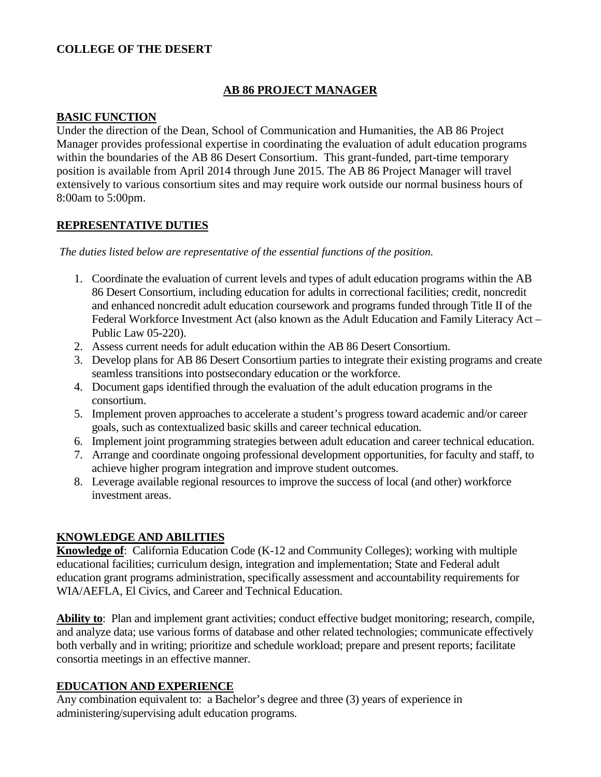#### **COLLEGE OF THE DESERT**

## **AB 86 PROJECT MANAGER**

#### **BASIC FUNCTION**

Under the direction of the Dean, School of Communication and Humanities, the AB 86 Project Manager provides professional expertise in coordinating the evaluation of adult education programs within the boundaries of the AB 86 Desert Consortium. This grant-funded, part-time temporary position is available from April 2014 through June 2015. The AB 86 Project Manager will travel extensively to various consortium sites and may require work outside our normal business hours of 8:00am to 5:00pm.

#### **REPRESENTATIVE DUTIES**

*The duties listed below are representative of the essential functions of the position.*

- 1. Coordinate the evaluation of current levels and types of adult education programs within the AB 86 Desert Consortium, including education for adults in correctional facilities; credit, noncredit and enhanced noncredit adult education coursework and programs funded through Title II of the Federal Workforce Investment Act (also known as the Adult Education and Family Literacy Act – Public Law 05-220).
- 2. Assess current needs for adult education within the AB 86 Desert Consortium.
- 3. Develop plans for AB 86 Desert Consortium parties to integrate their existing programs and create seamless transitions into postsecondary education or the workforce.
- 4. Document gaps identified through the evaluation of the adult education programs in the consortium.
- 5. Implement proven approaches to accelerate a student's progress toward academic and/or career goals, such as contextualized basic skills and career technical education.
- 6. Implement joint programming strategies between adult education and career technical education.
- 7. Arrange and coordinate ongoing professional development opportunities, for faculty and staff, to achieve higher program integration and improve student outcomes.
- 8. Leverage available regional resources to improve the success of local (and other) workforce investment areas.

## **KNOWLEDGE AND ABILITIES**

**Knowledge of**: California Education Code (K-12 and Community Colleges); working with multiple educational facilities; curriculum design, integration and implementation; State and Federal adult education grant programs administration, specifically assessment and accountability requirements for WIA/AEFLA, El Civics, and Career and Technical Education.

**Ability to**: Plan and implement grant activities; conduct effective budget monitoring; research, compile, and analyze data; use various forms of database and other related technologies; communicate effectively both verbally and in writing; prioritize and schedule workload; prepare and present reports; facilitate consortia meetings in an effective manner.

## **EDUCATION AND EXPERIENCE**

Any combination equivalent to: a Bachelor's degree and three (3) years of experience in administering/supervising adult education programs.